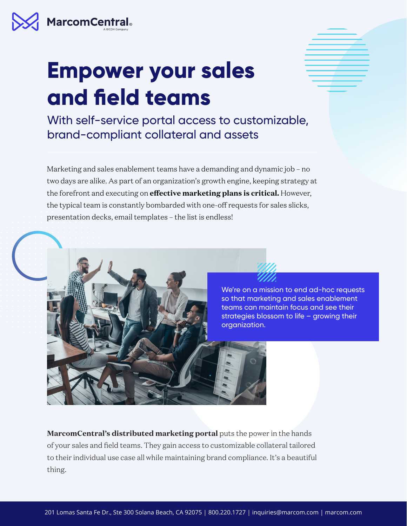

## **Empower your sales and field teams**

With self-service portal access to customizable, brand-compliant collateral and assets

Marketing and sales enablement teams have a demanding and dynamic job – no two days are alike. As part of an organization's growth engine, keeping strategy at the forefront and executing on **effective marketing plans is critical.** However, the typical team is constantly bombarded with one-off requests for sales slicks, presentation decks, email templates – the list is endless!

> We're on a mission to end ad-hoc requests so that marketing and sales enablement teams can maintain focus and see their strategies blossom to life – growing their organization.

**MarcomCentral's distributed marketing portal** puts the power in the hands of your sales and field teams. They gain access to customizable collateral tailored to their individual use case all while maintaining brand compliance. It's a beautiful thing.